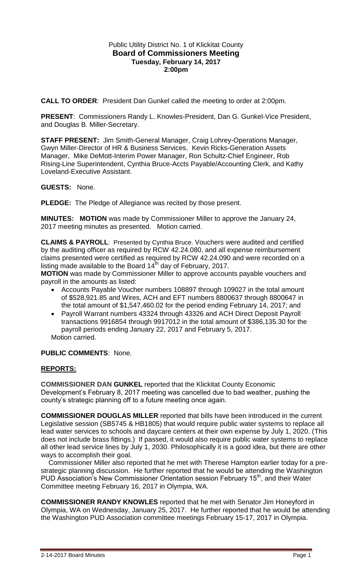### Public Utility District No. 1 of Klickitat County **Board of Commissioners Meeting Tuesday, February 14, 2017 2:00pm**

**CALL TO ORDER**: President Dan Gunkel called the meeting to order at 2:00pm.

**PRESENT**: Commissioners Randy L. Knowles-President, Dan G. Gunkel-Vice President, and Douglas B. Miller-Secretary.

**STAFF PRESENT:** Jim Smith-General Manager, Craig Lohrey-Operations Manager, Gwyn Miller-Director of HR & Business Services, Kevin Ricks-Generation Assets Manager, Mike DeMott-Interim Power Manager, Ron Schultz-Chief Engineer, Rob Rising-Line Superintendent, Cynthia Bruce-Accts Payable/Accounting Clerk, and Kathy Loveland-Executive Assistant.

**GUESTS:** None.

**PLEDGE:** The Pledge of Allegiance was recited by those present.

**MINUTES: MOTION** was made by Commissioner Miller to approve the January 24, 2017 meeting minutes as presented. Motion carried.

**CLAIMS & PAYROLL**: Presented by Cynthia Bruce. Vouchers were audited and certified by the auditing officer as required by RCW 42.24.080, and all expense reimbursement claims presented were certified as required by RCW 42.24.090 and were recorded on a listing made available to the Board  $14<sup>th</sup>$  day of February, 2017.

**MOTION** was made by Commissioner Miller to approve accounts payable vouchers and payroll in the amounts as listed:

- Accounts Payable Voucher numbers 108897 through 109027 in the total amount of \$528,921.85 and Wires, ACH and EFT numbers 8800637 through 8800647 in the total amount of \$1,547,460.02 for the period ending February 14, 2017; and
- Payroll Warrant numbers 43324 through 43326 and ACH Direct Deposit Payroll transactions 9916854 through 9917012 in the total amount of \$386,135.30 for the payroll periods ending January 22, 2017 and February 5, 2017. Motion carried.

# **PUBLIC COMMENTS**: None.

# **REPORTS:**

**COMMISSIONER DAN GUNKEL** reported that the Klickitat County Economic Development's February 8, 2017 meeting was cancelled due to bad weather, pushing the county's strategic planning off to a future meeting once again.

**COMMISSIONER DOUGLAS MILLER** reported that bills have been introduced in the current Legislative session (SB5745 & HB1805) that would require public water systems to replace all lead water services to schools and daycare centers at their own expense by July 1, 2020. (This does not include brass fittings.) If passed, it would also require public water systems to replace all other lead service lines by July 1, 2030. Philosophically it is a good idea, but there are other ways to accomplish their goal.

 Commissioner Miller also reported that he met with Therese Hampton earlier today for a prestrategic planning discussion. He further reported that he would be attending the Washington PUD Association's New Commissioner Orientation session February 15<sup>th</sup>, and their Water Committee meeting February 16, 2017 in Olympia, WA.

**COMMISSIONER RANDY KNOWLES** reported that he met with Senator Jim Honeyford in Olympia, WA on Wednesday, January 25, 2017. He further reported that he would be attending the Washington PUD Association committee meetings February 15-17, 2017 in Olympia.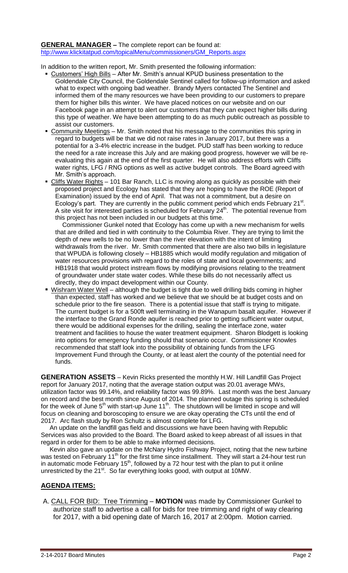#### **GENERAL MANAGER –** The complete report can be found at: [htp://www.klickitatpud.com/topicalMenu/commissioners/GM\\_Reports.aspx](http://www.klickitatpud.com/topicalMenu/commissioners/GM_Reports.aspx)

In addition to the written report, Mr. Smith presented the following information:

- Customers' High Bills After Mr. Smith's annual KPUD business presentation to the Goldendale City Council, the Goldendale Sentinel called for follow-up information and asked what to expect with ongoing bad weather. Brandy Myers contacted The Sentinel and informed them of the many resources we have been providing to our customers to prepare them for higher bills this winter. We have placed notices on our website and on our Facebook page in an attempt to alert our customers that they can expect higher bills during this type of weather. We have been attempting to do as much public outreach as possible to assist our customers.
- Community Meetings Mr. Smith noted that his message to the communities this spring in regard to budgets will be that we did not raise rates in January 2017, but there was a potential for a 3-4% electric increase in the budget. PUD staff has been working to reduce the need for a rate increase this July and are making good progress, however we will be reevaluating this again at the end of the first quarter. He will also address efforts with Cliffs water rights, LFG / RNG options as well as active budget controls. The Board agreed with Mr. Smith's approach.
- Cliffs Water Rights 101 Bar Ranch, LLC is moving along as quickly as possible with their proposed project and Ecology has stated that they are hoping to have the ROE (Report of Examination) issued by the end of April. That was not a commitment, but a desire on Ecology's part. They are currently in the public comment period which ends February 21<sup>st</sup>. A site visit for interested parties is scheduled for February  $24<sup>th</sup>$ . The potential revenue from this project has not been included in our budgets at this time.

 Commissioner Gunkel noted that Ecology has come up with a new mechanism for wells that are drilled and tied in with continuity to the Columbia River. They are trying to limit the depth of new wells to be no lower than the river elevation with the intent of limiting withdrawals from the river. Mr. Smith commented that there are also two bills in legislature that WPUDA is following closely – HB1885 which would modify regulation and mitigation of water resources provisions with regard to the roles of state and local governments; and HB1918 that would protect instream flows by modifying provisions relating to the treatment of groundwater under state water codes. While these bills do not necessarily affect us directly, they do impact development within our County.

Wishram Water Well – although the budget is tight due to well drilling bids coming in higher than expected, staff has worked and we believe that we should be at budget costs and on schedule prior to the fire season. There is a potential issue that staff is trying to mitigate. The current budget is for a 500ft well terminating in the Wanapum basalt aquifer. However if the interface to the Grand Ronde aquifer is reached prior to getting sufficient water output, there would be additional expenses for the drilling, sealing the interface zone, water treatment and facilities to house the water treatment equipment. Sharon Blodgett is looking into options for emergency funding should that scenario occur. Commissioner Knowles recommended that staff look into the possibility of obtaining funds from the LFG Improvement Fund through the County, or at least alert the county of the potential need for funds.

**GENERATION ASSETS** – Kevin Ricks presented the monthly H.W. Hill Landfill Gas Project report for January 2017, noting that the average station output was 20.01 average MWs, utilization factor was 99.14%, and reliability factor was 99.89%. Last month was the best January on record and the best month since August of 2014. The planned outage this spring is scheduled for the week of June  $5<sup>th</sup>$  with start-up June 11<sup>th</sup>. The shutdown will be limited in scope and will focus on cleaning and boroscoping to ensure we are okay operating the CTs until the end of 2017. Arc flash study by Ron Schultz is almost complete for LFG.

 An update on the landfill gas field and discussions we have been having with Republic Services was also provided to the Board. The Board asked to keep abreast of all issues in that regard in order for them to be able to make informed decisions.

 Kevin also gave an update on the McNary Hydro Fishway Project, noting that the new turbine was tested on February 11<sup>th</sup> for the first time since installment. They will start a 24-hour test run in automatic mode February 15<sup>th</sup>, followed by a 72 hour test with the plan to put it online unrestricted by the 21<sup>st</sup>. So far everything looks good, with output at 10MW.

# **AGENDA ITEMS:**

A. CALL FOR BID: Tree Trimming – **MOTION** was made by Commissioner Gunkel to authorize staff to advertise a call for bids for tree trimming and right of way clearing for 2017, with a bid opening date of March 16, 2017 at 2:00pm. Motion carried.